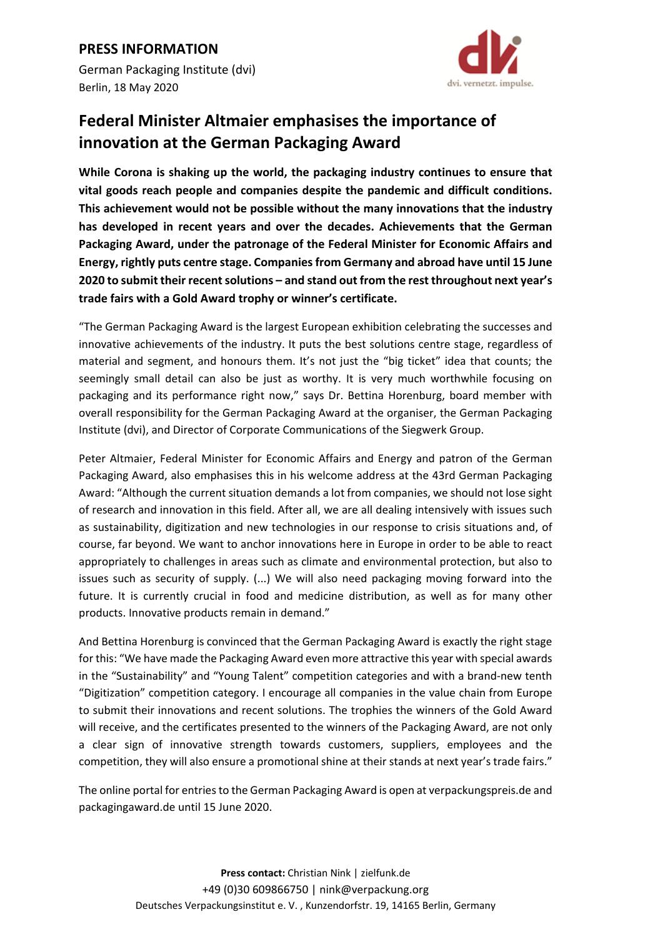German Packaging Institute (dvi) Berlin, 18 May 2020



## **Federal Minister Altmaier emphasises the importance of innovation at the German Packaging Award**

**While Corona is shaking up the world, the packaging industry continues to ensure that vital goods reach people and companies despite the pandemic and difficult conditions. This achievement would not be possible without the many innovations that the industry has developed in recent years and over the decades. Achievements that the German Packaging Award, under the patronage of the Federal Minister for Economic Affairs and Energy, rightly puts centre stage. Companies from Germany and abroad have until 15 June 2020 to submit their recent solutions – and stand out from the rest throughout next year's trade fairs with a Gold Award trophy or winner's certificate.** 

"The German Packaging Award is the largest European exhibition celebrating the successes and innovative achievements of the industry. It puts the best solutions centre stage, regardless of material and segment, and honours them. It's not just the "big ticket" idea that counts; the seemingly small detail can also be just as worthy. It is very much worthwhile focusing on packaging and its performance right now," says Dr. Bettina Horenburg, board member with overall responsibility for the German Packaging Award at the organiser, the German Packaging Institute (dvi), and Director of Corporate Communications of the Siegwerk Group.

Peter Altmaier, Federal Minister for Economic Affairs and Energy and patron of the German Packaging Award, also emphasises this in his welcome address at the 43rd German Packaging Award: "Although the current situation demands a lot from companies, we should not lose sight of research and innovation in this field. After all, we are all dealing intensively with issues such as sustainability, digitization and new technologies in our response to crisis situations and, of course, far beyond. We want to anchor innovations here in Europe in order to be able to react appropriately to challenges in areas such as climate and environmental protection, but also to issues such as security of supply. (...) We will also need packaging moving forward into the future. It is currently crucial in food and medicine distribution, as well as for many other products. Innovative products remain in demand."

And Bettina Horenburg is convinced that the German Packaging Award is exactly the right stage for this: "We have made the Packaging Award even more attractive this year with special awards in the "Sustainability" and "Young Talent" competition categories and with a brand‐new tenth "Digitization" competition category. I encourage all companies in the value chain from Europe to submit their innovations and recent solutions. The trophies the winners of the Gold Award will receive, and the certificates presented to the winners of the Packaging Award, are not only a clear sign of innovative strength towards customers, suppliers, employees and the competition, they will also ensure a promotional shine at their stands at next year's trade fairs."

The online portal for entries to the German Packaging Award is open at verpackungspreis.de and packagingaward.de until 15 June 2020.